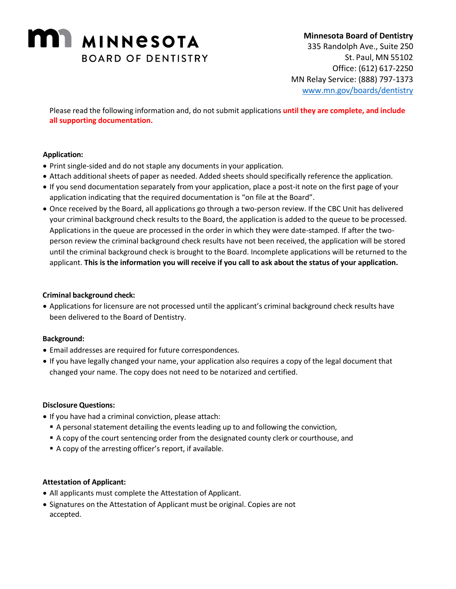# **MINIMINESOTA BOARD OF DENTISTRY**

# **Minnesota Board of Dentistry** 335 Randolph Ave., Suite 250 St. Paul, MN 55102 Office: (612) 617-2250 MN Relay Service: (888) 797-1373 [www.mn.gov/boards/dentistry](http://www.mn.gov/boards/dentistry)

Please read the following information and, do not submit applications **until they are complete, and include all supporting documentation.** 

# **Application:**

- Print single-sided and do not staple any documents in your application.
- Attach additional sheets of paper as needed. Added sheets should specifically reference the application.
- If you send documentation separately from your application, place a post-it note on the first page of your application indicating that the required documentation is "on file at the Board".
- Once received by the Board, all applications go through a two-person review. If the CBC Unit has delivered your criminal background check results to the Board, the application is added to the queue to be processed. Applications in the queue are processed in the order in which they were date-stamped. If after the twoperson review the criminal background check results have not been received, the application will be stored until the criminal background check is brought to the Board. Incomplete applications will be returned to the applicant. **This is the information you will receive if you call to ask about the status of your application.**

## **Criminal background check:**

• Applications for licensure are not processed until the applicant's criminal background check results have been delivered to the Board of Dentistry.

# **Background:**

- Email addresses are required for future correspondences.
- If you have legally changed your name, your application also requires a copy of the legal document that changed your name. The copy does not need to be notarized and certified.

#### **Disclosure Questions:**

- If you have had a criminal conviction, please attach:
	- **•** A personal statement detailing the events leading up to and following the conviction,
	- A copy of the court sentencing order from the designated county clerk or courthouse, and
	- A copy of the arresting officer's report, if available.

#### **Attestation of Applicant:**

- All applicants must complete the Attestation of Applicant.
- Signatures on the Attestation of Applicant must be original. Copies are not accepted.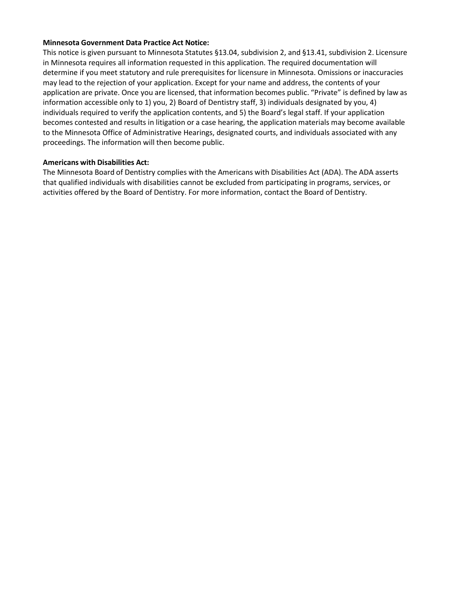#### **Minnesota Government Data Practice Act Notice:**

This notice is given pursuant to Minnesota Statutes §13.04, subdivision 2, and §13.41, subdivision 2. Licensure in Minnesota requires all information requested in this application. The required documentation will determine if you meet statutory and rule prerequisites for licensure in Minnesota. Omissions or inaccuracies may lead to the rejection of your application. Except for your name and address, the contents of your application are private. Once you are licensed, that information becomes public. "Private" is defined by law as information accessible only to 1) you, 2) Board of Dentistry staff, 3) individuals designated by you, 4) individuals required to verify the application contents, and 5) the Board's legal staff. If your application becomes contested and results in litigation or a case hearing, the application materials may become available to the Minnesota Office of Administrative Hearings, designated courts, and individuals associated with any proceedings. The information will then become public.

#### **Americans with Disabilities Act:**

The Minnesota Board of Dentistry complies with the Americans with Disabilities Act (ADA). The ADA asserts that qualified individuals with disabilities cannot be excluded from participating in programs, services, or activities offered by the Board of Dentistry. For more information, contact the Board of Dentistry.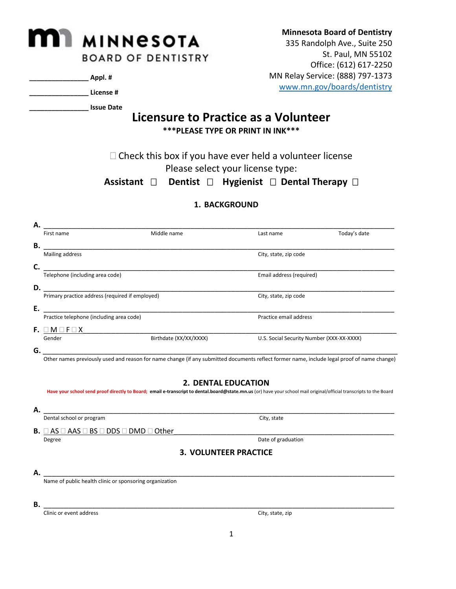# **IMINNESOTA BOARD OF DENTISTRY**

**\_\_\_\_\_\_\_\_\_\_\_\_\_\_\_\_ Appl. #** 

**\_\_\_\_\_\_\_\_\_\_\_\_\_\_\_\_ License #** 

**\_\_\_\_\_\_\_\_\_\_\_\_\_\_\_\_ Issue Date**

# **Licensure to Practice as a Volunteer \*\*\*PLEASE TYPE OR PRINT IN INK\*\*\***

 $\Box$  Check this box if you have ever held a volunteer license Please select your license type:

**Assistant □ Dentist □ Hygienist □ Dental Therapy □** 

# **1. BACKGROUND**

| А. |                                                 |                        |                                           |              |
|----|-------------------------------------------------|------------------------|-------------------------------------------|--------------|
|    | First name                                      | Middle name            | Last name                                 | Today's date |
| В. |                                                 |                        |                                           |              |
|    | Mailing address                                 |                        | City, state, zip code                     |              |
| C. |                                                 |                        |                                           |              |
|    | Telephone (including area code)                 |                        | Email address (required)                  |              |
| D. |                                                 |                        |                                           |              |
|    | Primary practice address (required if employed) |                        | City, state, zip code                     |              |
| Ε. |                                                 |                        |                                           |              |
|    | Practice telephone (including area code)        |                        | Practice email address                    |              |
| F. | $\Box$ M $\Box$ F $\Box$ X                      |                        |                                           |              |
|    | Gender                                          | Birthdate (XX/XX/XXXX) | U.S. Social Security Number (XXX-XX-XXXX) |              |
|    |                                                 |                        |                                           |              |

**G.** \_\_\_\_\_\_\_\_\_\_\_\_\_\_\_\_\_\_\_\_\_\_\_\_\_\_\_\_\_\_\_\_\_\_\_\_\_\_\_\_\_\_\_\_\_\_\_\_\_\_\_\_\_\_\_\_\_\_\_\_\_\_\_\_\_\_\_\_\_\_\_\_\_\_\_\_\_\_\_\_\_\_\_\_\_\_\_

Other names previously used and reason for name change (if any submitted documents reflect former name, include legal proof of name change)

#### **2. DENTAL EDUCATION**

**Have your school send proof directly to Board; email e-transcript to [dental.board@state.mn.us](mailto:dental.board@state.mn.us)** (or) have yourschool mail original/official transcripts to the Board

**A.** \_\_\_\_\_\_\_\_\_\_\_\_\_\_\_\_\_\_\_\_\_\_\_\_\_\_\_\_\_\_\_\_\_\_\_\_\_\_\_\_\_\_\_\_\_\_\_\_\_\_\_\_\_\_\_\_\_\_\_\_\_\_\_\_\_\_\_\_\_\_\_\_\_\_\_\_\_\_\_\_\_\_\_\_\_\_ Dental school or program City, state **B.**  $\Box$  AS  $\Box$  AAS  $\Box$  BS  $\Box$  DDS  $\Box$  DMD  $\Box$  Other <u>Degree</u> Degree Date of graduation and the contract of graduation begins the contract of graduation and  $\overline{D}$ 

# **3. VOLUNTEER PRACTICE**

**A.** \_\_\_\_\_\_\_\_\_\_\_\_\_\_\_\_\_\_\_\_\_\_\_\_\_\_\_\_\_\_\_\_\_\_\_\_\_\_\_\_\_\_\_\_\_\_\_\_\_\_\_\_\_\_\_\_\_\_\_\_\_\_\_\_\_\_\_\_\_\_\_\_\_\_\_\_\_\_\_\_\_\_\_\_\_\_

Name of public health clinic or sponsoring organization

**B.** \_\_\_\_\_\_\_\_\_\_\_\_\_\_\_\_\_\_\_\_\_\_\_\_\_\_\_\_\_\_\_\_\_\_\_\_\_\_\_\_\_\_\_\_\_\_\_\_\_\_\_\_\_\_\_\_\_\_\_\_\_\_\_\_\_\_\_\_\_\_\_\_\_\_\_\_\_\_\_\_\_\_\_\_\_\_

Clinic or event address City, state, zip

**Minnesota Board of Dentistry**

335 Randolph Ave., Suite 250 St. Paul, MN 55102 Office: (612) 617-2250 MN Relay Service: (888) 797-1373 [www.mn.gov/boards/dentistry](http://www.mn.gov/boards/dentistry)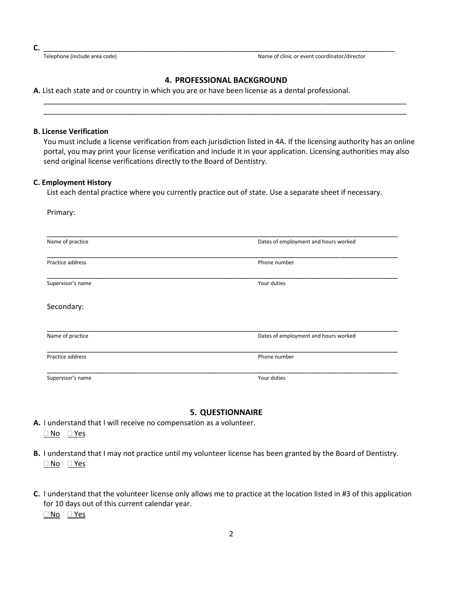**C.** \_\_\_\_\_\_\_\_\_\_\_\_\_\_\_\_\_\_\_\_\_\_\_\_\_\_\_\_\_\_\_\_\_\_\_\_\_\_\_\_\_\_\_\_\_\_\_\_\_\_\_\_\_\_\_\_\_\_\_\_\_\_\_\_\_\_\_\_\_\_\_\_\_\_\_\_\_\_\_\_\_\_\_\_\_\_

Telephone (include area code) Name of clinic or event coordinator/director

#### **4. PROFESSIONAL BACKGROUND**

\_\_\_\_\_\_\_\_\_\_\_\_\_\_\_\_\_\_\_\_\_\_\_\_\_\_\_\_\_\_\_\_\_\_\_\_\_\_\_\_\_\_\_\_\_\_\_\_\_\_\_\_\_\_\_\_\_\_\_\_\_\_\_\_\_\_\_\_\_\_\_\_\_\_\_\_\_\_\_\_\_\_\_\_\_\_\_\_\_ \_\_\_\_\_\_\_\_\_\_\_\_\_\_\_\_\_\_\_\_\_\_\_\_\_\_\_\_\_\_\_\_\_\_\_\_\_\_\_\_\_\_\_\_\_\_\_\_\_\_\_\_\_\_\_\_\_\_\_\_\_\_\_\_\_\_\_\_\_\_\_\_\_\_\_\_\_\_\_\_\_\_\_\_\_\_\_\_\_

**A.** List each state and or country in which you are or have been license as a dental professional.

#### **B. License Verification**

You must include a license verification from each jurisdiction listed in 4A. If the licensing authority has an online portal, you may print your license verification and include it in your application. Licensing authorities may also send original license verifications directly to the Board of Dentistry.

#### **C. Employment History**

List each dental practice where you currently practice out of state. Use a separate sheet if necessary.

| Primary:          |                                      |  |  |  |
|-------------------|--------------------------------------|--|--|--|
| Name of practice  | Dates of employment and hours worked |  |  |  |
| Practice address  | Phone number                         |  |  |  |
| Supervisor's name | Your duties                          |  |  |  |
| Secondary:        |                                      |  |  |  |
| Name of practice  | Dates of employment and hours worked |  |  |  |
| Practice address  | Phone number                         |  |  |  |
| Supervisor's name | Your duties                          |  |  |  |

#### **5. QUESTIONNAIRE**

**A.** I understand that I will receive no compensation as a volunteer. <u></u>No ⊻es

- **B.** I understand that I may not practice until my volunteer license has been granted by the Board of Dentistry. No Yes
- **C.** I understand that the volunteer license only allows me to practice at the location listed in #3 of this application for 10 days out of this current calendar year. No Yes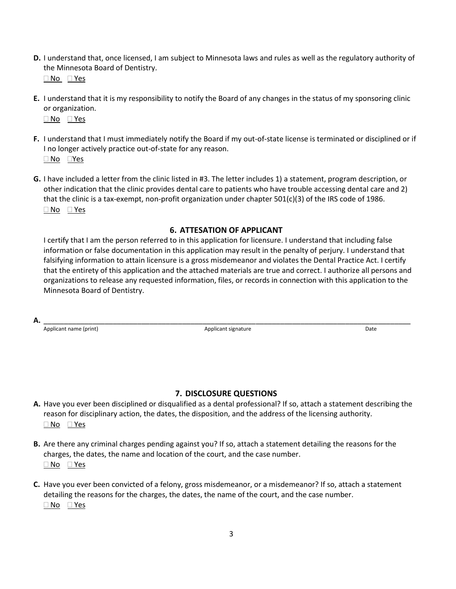**D.** I understand that, once licensed, I am subject to Minnesota laws and rules as well as the regulatory authority of the Minnesota Board of Dentistry.

No Yes

- **E.** I understand that it is my responsibility to notify the Board of any changes in the status of my sponsoring clinic or organization. <u></u>No ⊻es
- **F.** I understand that I must immediately notify the Board if my out-of-state license is terminated or disciplined or if I no longer actively practice out-of-state for any reason. □ No □Yes
- **G.** I have included a letter from the clinic listed in #3. The letter includes 1) a statement, program description, or other indication that the clinic provides dental care to patients who have trouble accessing dental care and 2) that the clinic is a tax-exempt, non-profit organization under chapter  $501(c)(3)$  of the IRS code of 1986. No Yes

# **6. ATTESATION OF APPLICANT**

I certify that I am the person referred to in this application for licensure. I understand that including false information or false documentation in this application may result in the penalty of perjury. I understand that falsifying information to attain licensure is a gross misdemeanor and violates the Dental Practice Act. I certify that the entirety of this application and the attached materials are true and correct. I authorize all persons and organizations to release any requested information, files, or records in connection with this application to the Minnesota Board of Dentistry.

**A.** \_\_\_\_\_\_\_\_\_\_\_\_\_\_\_\_\_\_\_\_\_\_\_\_\_\_\_\_\_\_\_\_\_\_\_\_\_\_\_\_\_\_\_\_\_\_\_\_\_\_\_\_\_\_\_\_\_\_\_\_\_\_\_\_\_\_\_\_\_\_\_\_\_\_\_\_\_\_\_\_\_\_\_\_\_\_\_\_\_\_

Applicant name (print) and the Community Community Applicant signature Applicant signature Applicant signature

#### **7. DISCLOSURE QUESTIONS**

- **A.** Have you ever been disciplined or disqualified as a dental professional? If so, attach a statement describing the reason for disciplinary action, the dates, the disposition, and the address of the licensing authority. <u></u>No ⊻es
- **B.** Are there any criminal charges pending against you? If so, attach a statement detailing the reasons for the charges, the dates, the name and location of the court, and the case number.  $\Box$  No  $\Box$  Yes
- **C.** Have you ever been convicted of a felony, gross misdemeanor, or a misdemeanor? If so, attach a statement detailing the reasons for the charges, the dates, the name of the court, and the case number. No Yes